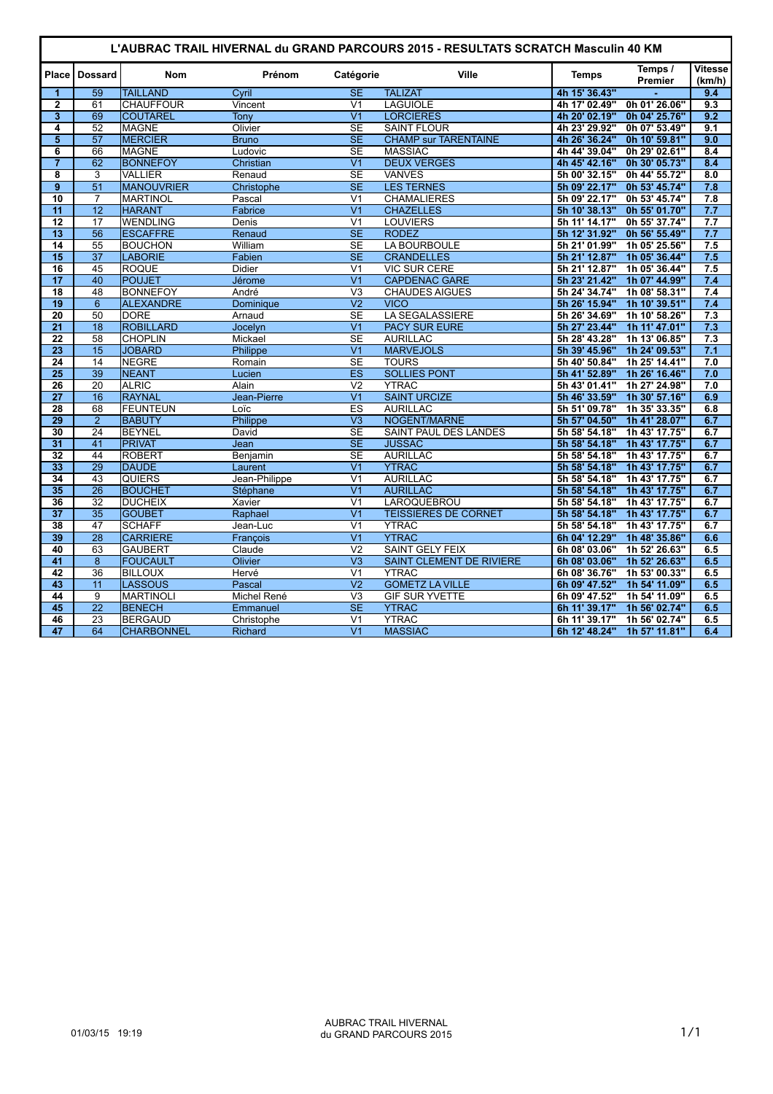| L'AUBRAC TRAIL HIVERNAL du GRAND PARCOURS 2015 - RESULTATS SCRATCH Masculin 40 KM |                       |                                 |                     |                                   |                                            |                                |                                |                          |  |  |
|-----------------------------------------------------------------------------------|-----------------------|---------------------------------|---------------------|-----------------------------------|--------------------------------------------|--------------------------------|--------------------------------|--------------------------|--|--|
| Place                                                                             | <b>Dossard</b>        | <b>Nom</b>                      | Prénom              | Catégorie                         | Ville                                      | <b>Temps</b>                   | Temps /<br>Premier             | <b>Vitesse</b><br>(km/h) |  |  |
| $\mathbf{1}$                                                                      | 59                    | <b>TAILLAND</b>                 | Cyril               | <b>SE</b>                         | <b>TALIZAT</b>                             | 4h 15' 36.43"                  |                                | 9.4                      |  |  |
| $\overline{2}$                                                                    | 61                    | <b>CHAUFFOUR</b>                | Vincent             | V <sub>1</sub>                    | <b>LAGUIOLE</b>                            | 4h 17' 02.49"                  | 0h 01' 26.06"                  | 9.3                      |  |  |
| $\overline{\mathbf{3}}$                                                           | 69                    | <b>COUTAREL</b>                 | Tony                | $\overline{V}$ 1                  | <b>LORCIERES</b>                           | 4h 20' 02.19"                  | 0h 04' 25.76"                  | 9.2                      |  |  |
| 4                                                                                 | 52                    | MAGNE                           | Olivier             | <b>SE</b>                         | <b>SAINT FLOUR</b>                         | 4h 23' 29.92"                  | 0h 07' 53.49"                  | 9.1                      |  |  |
| $\overline{5}$                                                                    | 57                    | <b>MERCIER</b>                  | <b>Bruno</b>        | <b>SE</b>                         | <b>CHAMP sur TARENTAINE</b>                | 4h 26' 36.24"                  | 0h 10' 59.81"                  | 9.0                      |  |  |
| 6                                                                                 | 66                    | <b>IMAGNE</b>                   | Ludovic             | <b>SE</b>                         | <b>MASSIAC</b>                             | 4h 44' 39.04"                  | 0h 29' 02.61"                  | 8.4                      |  |  |
|                                                                                   | 62                    | <b>BONNEFOY</b>                 | Christian           | $\overline{V1}$                   | <b>DEUX VERGES</b>                         | 4h 45' 42.16"                  | 0h 30' 05.73"                  | 8.4                      |  |  |
| $\overline{\mathbf{8}}$                                                           | $\overline{3}$        | <b>VALLIER</b>                  | Renaud              | $\overline{\text{SE}}$            | <b>VANVES</b>                              | 5h 00' 32.15"                  | 0h 44' 55.72"                  | 8.0                      |  |  |
| $\overline{9}$                                                                    | $\overline{51}$       | MANOUVRIER                      | Christophe          | $\overline{\text{SE}}$            | <b>LES TERNES</b>                          | 5h 09' 22.17"                  | 0h 53' 45.74"                  | 7.8                      |  |  |
| 10                                                                                | $\overline{7}$        | <b>MARTINOL</b>                 | Pascal              | V <sub>1</sub>                    | <b>CHAMALIERES</b>                         | 5h 09' 22.17"                  | 0h 53' 45.74"                  | 7.8                      |  |  |
| $\overline{11}$                                                                   | $\overline{12}$       | <b>HARANT</b>                   | Fabrice             | $\overline{V}$ 1                  | <b>CHAZELLES</b>                           | 5h 10' 38.13"                  | 0h 55' 01.70"                  | 7.7                      |  |  |
| 12                                                                                | 17                    | <b>WENDLING</b>                 | <b>Denis</b>        | V <sub>1</sub>                    | <b>LOUVIERS</b>                            | 5h 11' 14.17"                  | 0h 55' 37.74"                  | 7.7                      |  |  |
| $\overline{13}$                                                                   | $\overline{56}$       | <b>ESCAFFRE</b>                 | Renaud              | SE                                | <b>RODEZ</b>                               | 5h 12' 31.92"                  | 0h 56' 55.49"                  | 7.7                      |  |  |
| $\overline{14}$                                                                   | 55                    | <b>BOUCHON</b>                  | William             | <b>SE</b>                         | LA BOURBOULE                               | 5h 21' 01.99"                  | 1h 05' 25.56"                  | 7.5                      |  |  |
| $\overline{15}$                                                                   | $\overline{37}$       | <b>LABORIE</b>                  | Fabien              | $\overline{\text{SE}}$            | <b>CRANDELLES</b>                          | 5h 21' 12.87"                  | 1h 05' 36.44"                  | 7.5                      |  |  |
| $\overline{16}$                                                                   | $\overline{45}$       | <b>ROQUE</b>                    | <b>Didier</b>       | V <sub>1</sub>                    | <b>VIC SUR CERE</b>                        | 5h 21' 12.87"                  | 1h 05' 36.44"                  | 7.5                      |  |  |
| $\overline{17}$                                                                   | 40                    | <b>POUJET</b>                   | Jérome              | $\overline{V}$ 1                  | <b>CAPDENAC GARE</b>                       | 5h 23' 21.42"                  | 1h 07' 44.99"                  | 7.4                      |  |  |
| $\overline{18}$                                                                   | $\overline{48}$       | <b>BONNEFOY</b>                 | André               | $\overline{\vee}$ 3               | <b>CHAUDES AIGUES</b>                      | 5h 24' 34.74"                  | 1h 08' 58.31"                  | 7.4                      |  |  |
| 19                                                                                | $6\overline{6}$       | <b>ALEXANDRE</b>                | Dominique           | V <sub>2</sub>                    | <b>VICO</b>                                | 5h 26' 15.94"                  | 1h 10' 39.51"                  | 7.4                      |  |  |
| $\overline{20}$                                                                   | 50                    | DORE                            | Arnaud              | <b>SE</b>                         | LA SEGALASSIERE                            | 5h 26' 34.69"                  | 1h 10' 58.26"                  | 7.3                      |  |  |
| $\overline{21}$                                                                   | $\overline{18}$       | <b>ROBILLARD</b>                | Jocelyn             | $\overline{V1}$                   | <b>PACY SUR EURE</b>                       | 5h 27' 23.44"                  | 1h 11' 47.01"                  | 7.3                      |  |  |
| $\overline{22}$                                                                   | 58                    | <b>CHOPLIN</b>                  | Mickael             | $\overline{\text{SE}}$            | <b>AURILLAC</b>                            | 5h 28' 43.28"                  | 1h 13' 06.85"                  | $\overline{7.3}$         |  |  |
| $\overline{23}$                                                                   | 15                    | <b>JOBARD</b>                   | Philippe            | $\overline{V1}$                   | <b>MARVEJOLS</b>                           | 5h 39' 45.96"                  | 1h 24' 09.53"                  | 7.1                      |  |  |
| $\overline{24}$                                                                   | 14                    | NEGRE                           | Romain              | <b>SE</b>                         | <b>TOURS</b>                               | 5h 40' 50.84"                  | 1h 25' 14.41"                  | 7.0                      |  |  |
| $\overline{25}$                                                                   | 39                    | <b>NEANT</b>                    | Lucien              | <b>ES</b>                         | <b>SOLLIES PONT</b>                        | 5h 41' 52.89"                  | 1h 26' 16.46"                  | 7.0                      |  |  |
| $\overline{26}$                                                                   | 20                    | <b>ALRIC</b>                    | Alain               | V <sub>2</sub>                    | <b>YTRAC</b>                               | 5h 43' 01.41"                  | 1h 27' 24.98"                  | 7.0                      |  |  |
| $\overline{27}$                                                                   | $\overline{16}$       | <b>RAYNAL</b>                   | Jean-Pierre         | $\overline{V1}$                   | <b>SAINT URCIZE</b>                        | 5h 46' 33.59"                  | 1h 30' 57.16"                  | 6.9                      |  |  |
| $\overline{28}$                                                                   | 68                    | <b>FEUNTEUN</b>                 | Loïc                | ES                                | <b>AURILLAC</b>                            | 5h 51' 09.78"                  | 1h 35' 33.35"                  | 6.8                      |  |  |
| $\overline{29}$                                                                   | $\overline{2}$        | <b>BABUTY</b>                   | Philippe            | $\overline{\mathsf{V3}}$          | NOGENT/MARNE                               | 5h 57' 04.50"                  | 1h 41' 28.07"                  | 6.7                      |  |  |
| 30                                                                                | 24                    | <b>BEYNEL</b>                   | David               | <b>SE</b>                         | SAINT PAUL DES LANDES                      | 5h 58' 54.18"                  | 1h 43' 17.75"                  | 6.7                      |  |  |
| $\overline{31}$                                                                   | $\overline{41}$       | <b>PRIVAT</b>                   | Jean                | $\overline{\text{SE}}$            | <b>JUSSAC</b>                              | 5h 58' 54.18"                  | 1h 43' 17.75"                  | 6.7                      |  |  |
| 32                                                                                | 44                    | <b>ROBERT</b>                   | Benjamin            | <b>SE</b>                         | <b>AURILLAC</b>                            | 5h 58' 54.18"                  | 1h 43' 17.75"<br>1h 43' 17.75" | 6.7<br>6.7               |  |  |
| 33                                                                                | 29                    | <b>DAUDE</b>                    | Laurent             | V <sub>1</sub><br>$\overline{V1}$ | <b>YTRAC</b>                               | 5h 58' 54.18"                  |                                |                          |  |  |
| $\overline{34}$                                                                   | 43                    | <b>QUIERS</b>                   | Jean-Philippe       | $\overline{V1}$                   | <b>AURILLAC</b><br><b>AURILLAC</b>         | 5h 58' 54.18"                  | 1h 43' 17.75"                  | 6.7<br>6.7               |  |  |
| 35<br>36                                                                          | $\overline{26}$       | <b>BOUCHET</b>                  | Stéphane            | $\overline{V1}$                   |                                            | 5h 58' 54.18"                  | 1h 43' 17.75"                  | 6.7                      |  |  |
| $\overline{37}$                                                                   | 32<br>$\overline{35}$ | <b>DUCHEIX</b><br><b>GOUBET</b> | Xavier              | $\overline{V}$ 1                  | LAROQUEBROU<br><b>TEISSIERES DE CORNET</b> | 5h 58' 54.18"                  | 1h 43' 17.75"<br>1h 43' 17.75" | 6.7                      |  |  |
| 38                                                                                | 47                    | <b>SCHAFF</b>                   | Raphael<br>Jean-Luc | V <sub>1</sub>                    | <b>YTRAC</b>                               | 5h 58' 54.18"<br>5h 58' 54.18" | 1h 43' 17.75"                  | 6.7                      |  |  |
| 39                                                                                | 28                    | <b>CARRIERE</b>                 |                     | V <sub>1</sub>                    | <b>YTRAC</b>                               | 6h 04' 12.29"                  | 1h 48' 35.86"                  | 6.6                      |  |  |
| 40                                                                                | 63                    | <b>GAUBERT</b>                  | François            | $\overline{V}$                    | <b>SAINT GELY FEIX</b>                     | 6h 08' 03.06"                  | 1h 52' 26.63"                  | 6.5                      |  |  |
| 41                                                                                | 8                     | <b>FOUCAULT</b>                 | Claude              | $\overline{\mathsf{V}3}$          | SAINT CLEMENT DE RIVIERE                   | 6h 08' 03.06"                  | 1h 52' 26.63"                  | 6.5                      |  |  |
| 42                                                                                | 36                    | <b>BILLOUX</b>                  | Olivier<br>Hervé    | $\overline{V1}$                   | <b>YTRAC</b>                               | 6h 08' 36.76"                  | 1h 53' 00.33"                  | 6.5                      |  |  |
| 43                                                                                | 11                    | LASSOUS                         | Pascal              | $\overline{V}$                    | <b>GOMETZ LA VILLE</b>                     | 6h 09' 47.52"                  | 1h 54' 11.09"                  | 6.5                      |  |  |
| 44                                                                                | 9                     | MARTINOLI                       | Michel René         | V <sub>3</sub>                    | <b>GIF SUR YVETTE</b>                      | 6h 09' 47.52"                  | 1h 54' 11.09"                  | 6.5                      |  |  |
| $\overline{45}$                                                                   | $\overline{22}$       | <b>BENECH</b>                   | Emmanuel            | SE                                | <b>YTRAC</b>                               | 6h 11' 39.17"                  | 1h 56' 02.74"                  | 6.5                      |  |  |
| 46                                                                                | 23                    | BERGAUD                         | Christophe          | V <sub>1</sub>                    | <b>YTRAC</b>                               | 6h 11' 39.17"                  | 1h 56' 02.74"                  | 6.5                      |  |  |
| 47                                                                                | 64                    | <b>CHARBONNEL</b>               | Richard             | $\overline{\mathsf{V1}}$          | <b>MASSIAC</b>                             | 6h 12' 48.24"                  | 1h 57' 11.81"                  | 6.4                      |  |  |
|                                                                                   |                       |                                 |                     |                                   |                                            |                                |                                |                          |  |  |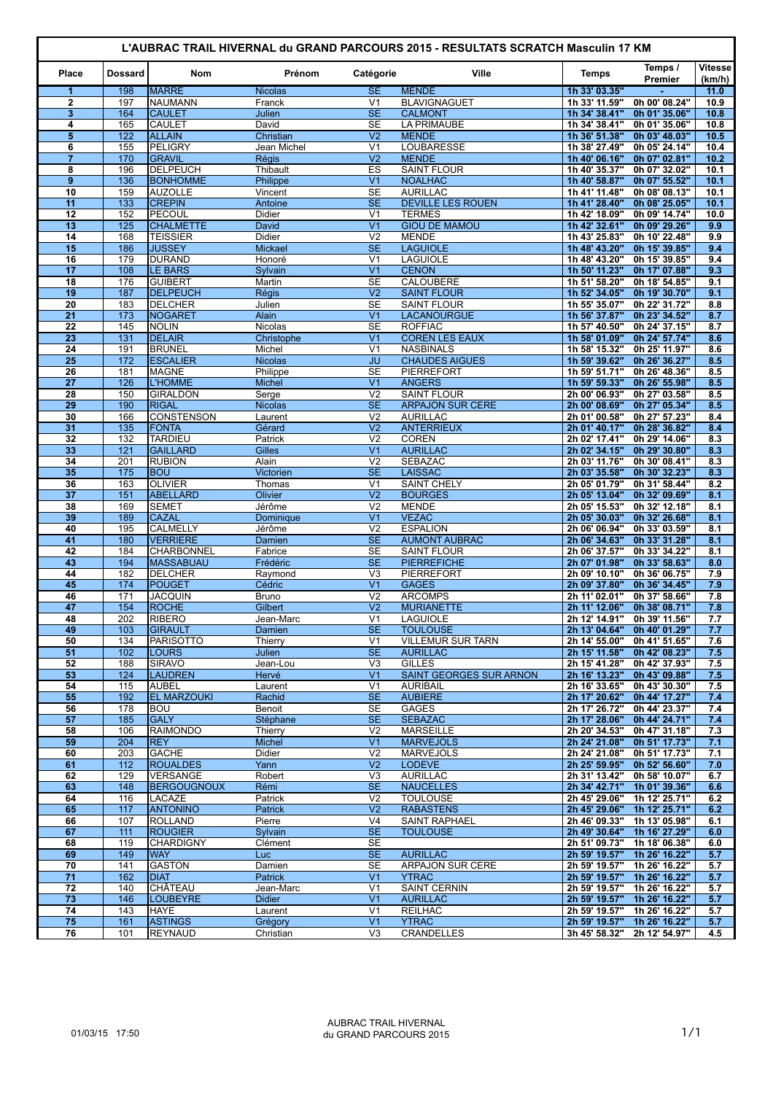| L'AUBRAC TRAIL HIVERNAL du GRAND PARCOURS 2015 - RESULTATS SCRATCH Masculin 17 KM |                |                                       |                                 |                                  |                                               |                                |                                              |                          |  |
|-----------------------------------------------------------------------------------|----------------|---------------------------------------|---------------------------------|----------------------------------|-----------------------------------------------|--------------------------------|----------------------------------------------|--------------------------|--|
| Place                                                                             | <b>Dossard</b> | <b>Nom</b>                            | Prénom                          | Catégorie                        | Ville                                         | <b>Temps</b>                   | Temps /<br>Premier                           | <b>Vitesse</b><br>(km/h) |  |
| 1<br>$\overline{2}$                                                               | 198<br>197     | <b>MARRE</b><br>NAUMANN               | <b>Nicolas</b><br>Franck        | <b>SE</b><br>V <sub>1</sub>      | <b>MENDE</b><br><b>BLAVIGNAGUET</b>           | 1h 33' 03.35"                  | 0h 00' 08.24"                                | 11.0<br>10.9             |  |
| 3                                                                                 | 164            | <b>CAULET</b>                         | <b>Julien</b>                   | <b>SE</b>                        | <b>CALMONT</b>                                | 1h 33' 11.59"<br>1h 34' 38.41" | 0h 01' 35.06"                                | 10.8                     |  |
| 4                                                                                 | 165            | <b>CAULET</b>                         | David                           | <b>SE</b>                        | <b>LA PRIMAUBE</b>                            | 1h 34' 38.41"                  | 0h 01' 35.06"                                | 10.8                     |  |
| 5                                                                                 | 122            | <b>ALLAIN</b>                         | Christian                       | V <sub>2</sub>                   | <b>MENDE</b>                                  | 1h 36' 51.38"                  | 0h 03' 48.03"                                | 10.5                     |  |
| 6                                                                                 | 155            | PELIGRY                               | Jean Michel                     | V <sub>1</sub>                   | LOUBARESSE                                    | 1h 38' 27.49"                  | 0h 05' 24.14"                                | 10.4                     |  |
| $\overline{7}$                                                                    | 170            | <b>GRAVIL</b>                         | <b>Régis</b>                    | $\overline{V}$                   | <b>MENDE</b>                                  | 1h 40' 06.16"                  | 0h 07' 02.81"                                | 10.2                     |  |
| 8<br>$\boldsymbol{9}$                                                             | 196<br>136     | <b>DELPEUCH</b><br><b>BONHOMME</b>    | Thibault<br>Philippe            | ES<br>V <sub>1</sub>             | <b>SAINT FLOUR</b><br><b>NOALHAC</b>          | 1h 40' 35.37"<br>1h 40' 58.87" | 0h 07' 32.02"<br>0h 07' 55.52"               | 10.1<br>10.1             |  |
| 10                                                                                | 159            | <b>AUZOLLE</b>                        | Vincent                         | <b>SE</b>                        | <b>AURILLAC</b>                               | 1h 41' 11.48"                  | 0h 08' 08.13"                                | 10.1                     |  |
| 11                                                                                | 133            | <b>CREPIN</b>                         | Antoine                         | <b>SE</b>                        | <b>DEVILLE LES ROUEN</b>                      | 1h 41' 28.40"                  | 0h 08' 25.05"                                | 10.1                     |  |
| 12                                                                                | 152            | PECOUL                                | Didier                          | V <sub>1</sub>                   | <b>TERMES</b>                                 | 1h 42' 18.09"                  | 0h 09' 14.74"                                | 10.0                     |  |
| 13                                                                                | 125            | <b>CHALMETTE</b>                      | David                           | V <sub>1</sub>                   | <b>GIOU DE MAMOU</b>                          | 1h 42' 32.61"                  | 0h 09' 29.26"                                | 9.9                      |  |
| 14<br>15                                                                          | 168<br>186     | <b>TEISSIER</b><br><b>JUSSEY</b>      | <b>Didier</b><br><b>Mickael</b> | V <sub>2</sub><br><b>SE</b>      | <b>MENDE</b><br><b>LAGUIOLE</b>               | 1h 43' 25.83"<br>1h 48' 43.20" | 0h 10' 22.48"<br>0h 15' 39.85"               | 9.9<br>9.4               |  |
| 16                                                                                | 179            | <b>DURAND</b>                         | Honoré                          | V <sub>1</sub>                   | <b>LAGUIOLE</b>                               | 1h 48' 43.20"                  | 0h 15' 39.85"                                | 9.4                      |  |
| 17                                                                                | 108            | <b>LE BARS</b>                        | Sylvain                         | V <sub>1</sub>                   | <b>CENON</b>                                  | 1h 50' 11.23"                  | 0h 17' 07.88"                                | 9.3                      |  |
| 18                                                                                | 176            | <b>GUIBERT</b>                        | Martin                          | <b>SE</b>                        | CALOUBERE                                     | 1h 51' 58.20"                  | 0h 18' 54.85"                                | 9.1                      |  |
| 19                                                                                | 187            | <b>DELPEUCH</b>                       | <b>Régis</b>                    | V <sub>2</sub>                   | <b>SAINT FLOUR</b>                            | 1h 52' 34.05"                  | 0h 19' 30.70"                                | 9.1                      |  |
| 20                                                                                | 183            | DELCHER                               | Julien                          | <b>SE</b>                        | <b>SAINT FLOUR</b>                            | 1h 55' 35.07"                  | 0h 22' 31.72"                                | 8.8                      |  |
| 21<br>$\overline{22}$                                                             | 173<br>145     | NOGARET<br><b>NOLIN</b>               | Alain                           | V <sub>1</sub><br><b>SE</b>      | <b>LACANOURGUE</b><br><b>ROFFIAC</b>          | 1h 56' 37.87"<br>1h 57' 40.50" | 0h 23' 34.52"<br>0h 24' 37.15"               | 8.7<br>8.7               |  |
| 23                                                                                | 131            | <b>DELAIR</b>                         | <b>Nicolas</b><br>Christophe    | V <sub>1</sub>                   | <b>COREN LES EAUX</b>                         | 1h 58' 01.09"                  | 0h 24' 57.74"                                | 8.6                      |  |
| 24                                                                                | 191            | <b>BRUNEL</b>                         | Michel                          | V <sub>1</sub>                   | <b>NASBINALS</b>                              | 1h 58' 15.32"                  | 0h 25' 11.97"                                | 8.6                      |  |
| 25                                                                                | 172            | <b>ESCALIER</b>                       | <b>Nicolas</b>                  | <b>JU</b>                        | <b>CHAUDES AIGUES</b>                         | 1h 59' 39.62"                  | 0h 26' 36.27"                                | 8.5                      |  |
| $\overline{26}$                                                                   | 181            | <b>MAGNE</b>                          | Philippe                        | <b>SE</b>                        | <b>PIERREFORT</b>                             | 1h 59' 51.71"                  | 0h 26' 48.36"                                | 8.5                      |  |
| 27                                                                                | 126            | <b>L'HOMME</b>                        | <b>Michel</b>                   | V <sub>1</sub>                   | <b>ANGERS</b>                                 | 1h 59' 59.33"                  | 0h 26' 55.98"                                | 8.5                      |  |
| 28<br>29                                                                          | 150<br>190     | <b>GIRALDON</b><br><b>RIGAL</b>       | Serge<br><b>Nicolas</b>         | V <sub>2</sub><br><b>SE</b>      | <b>SAINT FLOUR</b><br><b>ARPAJON SUR CERE</b> | 2h 00' 06.93"<br>2h 00' 08.69" | 0h 27' 03.58"<br>0h 27' 05.34"               | 8.5<br>8.5               |  |
| 30                                                                                | 166            | <b>CONSTENSON</b>                     | Laurent                         | V <sub>2</sub>                   | <b>AURILLAC</b>                               | 2h 01' 00.58"                  | 0h 27' 57.23"                                | 8.4                      |  |
| 31                                                                                | 135            | <b>FONTA</b>                          | Gérard                          | $\overline{\mathsf{V2}}$         | <b>ANTERRIEUX</b>                             | 2h 01' 40.17"                  | 0h 28' 36.82"                                | 8.4                      |  |
| 32                                                                                | 132            | <b>TARDIEU</b>                        | Patrick                         | V <sub>2</sub>                   | <b>COREN</b>                                  | 2h 02' 17.41"                  | 0h 29' 14.06"                                | 8.3                      |  |
| 33                                                                                | 121            | <b>GAILLARD</b>                       | <b>Gilles</b>                   | V <sub>1</sub>                   | <b>AURILLAC</b>                               | 2h 02' 34.15"                  | 0h 29' 30.80"                                | 8.3                      |  |
| 34                                                                                | 201            | <b>RUBION</b>                         | Alain                           | V <sub>2</sub>                   | <b>SEBAZAC</b>                                | 2h 03' 11.76"                  | 0h 30' 08.41"                                | 8.3                      |  |
| 35                                                                                | 175            | <b>BOU</b>                            | Victorien                       | <b>SE</b>                        | <b>LAISSAC</b>                                | 2h 03' 35.58"                  | 0h 30' 32.23"                                | 8.3                      |  |
| 36<br>37                                                                          | 163<br>151     | <b>OLIVIER</b><br><b>ABELLARD</b>     | Thomas<br>Olivier               | V <sub>1</sub><br>V <sub>2</sub> | <b>SAINT CHELY</b><br><b>BOURGES</b>          | 2h 05' 01.79"<br>2h 05' 13.04" | 0h 31' 58.44"<br>0h 32' 09.69"               | 8.2<br>8.1               |  |
| 38                                                                                | 169            | <b>SEMET</b>                          | Jérôme                          | V <sub>2</sub>                   | <b>MENDE</b>                                  | 2h 05' 15.53"                  | 0h 32' 12.18"                                | 8.1                      |  |
| 39                                                                                | 189            | <b>CAZAL</b>                          | Dominique                       | V <sub>1</sub>                   | <b>VEZAC</b>                                  | 2h 05' 30.03"                  | 0h 32' 26.68"                                | 8.1                      |  |
| 40                                                                                | 195            | CALMELLY                              | Jérôme                          | V <sub>2</sub>                   | <b>ESPALION</b>                               | 2h 06' 06.94"                  | 0h 33' 03.59"                                | 8.1                      |  |
| 41                                                                                | 180            | <b>VERRIERE</b>                       | <b>Damien</b>                   | SE                               | <b>AUMONT AUBRAC</b>                          | 2h 06' 34.63"                  | 0h 33' 31.28"                                | 8.1                      |  |
| 42<br>43                                                                          | 184<br>194     | <b>CHARBONNEL</b><br><b>MASSABUAU</b> | Fabrice<br>Frédéric             | <b>SE</b><br><b>SE</b>           | <b>SAINT FLOUR</b><br><b>PIERREFICHE</b>      | 2h 06' 37.57"<br>2h 07' 01.98" | 0h 33' 34.22"<br>Oh 33' 58.63"               | 8.1<br>8.0               |  |
| 44                                                                                | 182            | <b>DELCHER</b>                        | Raymond                         | V <sub>3</sub>                   | <b>PIERREFORT</b>                             | 2h 09' 10.10"                  | 0h 36' 06.75"                                | 7.9                      |  |
| 45                                                                                | 174            | <b>POUGET</b>                         | Cédric                          | V <sub>1</sub>                   | <b>GAGES</b>                                  | 2h 09' 37.80"                  | 0h 36' 34.45"                                | 7.9                      |  |
| 46                                                                                | 171            | <b>JACQUIN</b>                        | <b>Bruno</b>                    | V <sub>2</sub>                   | <b>ARCOMPS</b>                                | 2h 11' 02.01"                  | 0h 37' 58.66"                                | 7.8                      |  |
| 47                                                                                | 154            | <b>ROCHE</b>                          | Gilbert                         | V <sub>2</sub>                   | <b>MURIANETTE</b>                             | 2h 11' 12.06"                  | 0h 38' 08.71"                                | 7.8                      |  |
| 48                                                                                | 202            | <b>RIBERO</b>                         | Jean-Marc                       | V <sub>1</sub>                   | <b>LAGUIOLE</b><br><b>TOULOUSE</b>            | 2h 12' 14.91"                  | 0h 39' 11.56"                                | 7.7                      |  |
| 49<br>50                                                                          | 103<br>134     | <b>GIRAULT</b><br><b>PARISOTTO</b>    | Damien<br>Thierry               | <b>SE</b><br>V <sub>1</sub>      | <b>VILLEMUR SUR TARN</b>                      | 2h 14' 55.00"                  | 2h 13' 04.64" 0h 40' 01.29"<br>0h 41' 51.65" | 7.7<br>7.6               |  |
| 51                                                                                | 102            | <b>LOURS</b>                          | Julien                          | <b>SE</b>                        | <b>AURILLAC</b>                               | 2h 15' 11.58"                  | 0h 42' 08.23"                                | 7.5                      |  |
| 52                                                                                | 188            | <b>SIRAVO</b>                         | Jean-Lou                        | V <sub>3</sub>                   | <b>GILLES</b>                                 | 2h 15' 41.28"                  | 0h 42' 37.93"                                | 7.5                      |  |
| 53                                                                                | 124            | <b>LAUDREN</b>                        | Hervé                           | V <sub>1</sub>                   | <b>SAINT GEORGES SUR ARNON</b>                | 2h 16' 13.23"                  | 0h 43' 09.88"                                | 7.5                      |  |
| 54                                                                                | 115            | <b>AUBEL</b>                          | Laurent                         | V <sub>1</sub>                   | <b>AURIBAIL</b>                               | 2h 16' 33.65"                  | 0h 43' 30.30"                                | 7.5                      |  |
| 55<br>56                                                                          | 192<br>178     | <b>EL MARZOUKI</b><br><b>BOU</b>      | Rachid<br>Benoit                | <b>SE</b><br>SE                  | <b>AUBIERE</b><br><b>GAGES</b>                | 2h 17' 20.62"<br>2h 17' 26.72" | 0h 44' 17.27"<br>0h 44' 23.37"               | 7.4<br>7.4               |  |
| 57                                                                                | 185            | <b>GALY</b>                           | Stéphane                        | <b>SE</b>                        | <b>SEBAZAC</b>                                | 2h 17' 28.06"                  | 0h 44' 24.71"                                | 7.4                      |  |
| 58                                                                                | 106            | RAIMONDO                              | Thierry                         | V <sub>2</sub>                   | <b>MARSEILLE</b>                              | 2h 20' 34.53"                  | 0h 47' 31.18"                                | 7.3                      |  |
| 59                                                                                | 204            | <b>REY</b>                            | <b>Michel</b>                   | V <sub>1</sub>                   | <b>MARVEJOLS</b>                              | 2h 24' 21.08"                  | 0h 51' 17.73"                                | 7.1                      |  |
| 60                                                                                | 203            | <b>GACHE</b>                          | Didier                          | V <sub>2</sub>                   | <b>MARVEJOLS</b>                              | 2h 24' 21.08"                  | 0h 51' 17.73"                                | 7.1                      |  |
| 61                                                                                | 112<br>129     | <b>ROUALDES</b>                       | Yann                            | V <sub>2</sub>                   | <b>LODEVE</b>                                 | 2h 25' 59.95"                  | 0h 52' 56.60"                                | 7.0                      |  |
| 62<br>63                                                                          | 148            | VERSANGE<br><b>BERGOUGNOUX</b>        | Robert<br>Rémi                  | V3<br>SE                         | <b>AURILLAC</b><br><b>NAUCELLES</b>           | 2h 31' 13.42"<br>2h 34' 42.71" | 0h 58' 10.07"<br>1h 01' 39.36"               | 6.7<br>6.6               |  |
| 64                                                                                | 116            | LACAZE                                | Patrick                         | V <sub>2</sub>                   | <b>TOULOUSE</b>                               | 2h 45' 29.06"                  | 1h 12' 25.71"                                | 6.2                      |  |
| 65                                                                                | 117            | <b>ANTONINO</b>                       | Patrick                         | V <sub>2</sub>                   | <b>RABASTENS</b>                              | 2h 45' 29.06"                  | 1h 12' 25.71"                                | 6.2                      |  |
| 66                                                                                | 107            | ROLLAND                               | Pierre                          | V <sub>4</sub>                   | <b>SAINT RAPHAEL</b>                          | 2h 46' 09.33"                  | 1h 13' 05.98"                                | 6.1                      |  |
| 67                                                                                | 111            | <b>ROUGIER</b>                        | Sylvain                         | <b>SE</b>                        | <b>TOULOUSE</b>                               | 2h 49' 30.64"                  | 1h 16' 27.29"                                | 6.0                      |  |
| 68<br>69                                                                          | 119<br>149     | <b>CHARDIGNY</b><br><b>WAY</b>        | Clément<br>Luc.                 | SE<br><b>SE</b>                  | <b>AURILLAC</b>                               | 2h 51' 09.73"<br>2h 59' 19.57" | 1h 18' 06.38"<br>1h 26' 16.22"               | 6.0<br>5.7               |  |
| 70                                                                                | 141            | <b>GASTON</b>                         | Damien                          | SE                               | <b>ARPAJON SUR CERE</b>                       | 2h 59' 19.57"                  | 1h 26' 16.22"                                | 5.7                      |  |
| 71                                                                                | 162            | <b>DIAT</b>                           | Patrick                         | V <sub>1</sub>                   | <b>YTRAC</b>                                  | 2h 59' 19.57"                  | 1h 26' 16.22"                                | 5.7                      |  |
| 72                                                                                | 140            | CHÂTEAU                               | Jean-Marc                       | V <sub>1</sub>                   | <b>SAINT CERNIN</b>                           | 2h 59' 19.57"                  | 1h 26' 16.22"                                | 5.7                      |  |
| 73                                                                                | 146            | <b>LOUBEYRE</b>                       | <b>Didier</b>                   | V <sub>1</sub>                   | <b>AURILLAC</b>                               | 2h 59' 19.57"                  | 1h 26' 16.22"                                | 5.7                      |  |
| 74                                                                                | 143            | HAYE                                  | Laurent                         | V <sub>1</sub>                   | <b>REILHAC</b>                                | 2h 59' 19.57"                  | 1h 26' 16.22"                                | 5.7                      |  |
| 75<br>76                                                                          | 161<br>101     | <b>ASTINGS</b><br><b>REYNAUD</b>      | Grégory<br>Christian            | V <sub>1</sub><br>V <sub>3</sub> | <b>YTRAC</b><br><b>CRANDELLES</b>             | 2h 59' 19.57"<br>3h 45' 58.32" | 1h 26' 16.22"<br>2h 12' 54.97"               | 5.7<br>4.5               |  |
|                                                                                   |                |                                       |                                 |                                  |                                               |                                |                                              |                          |  |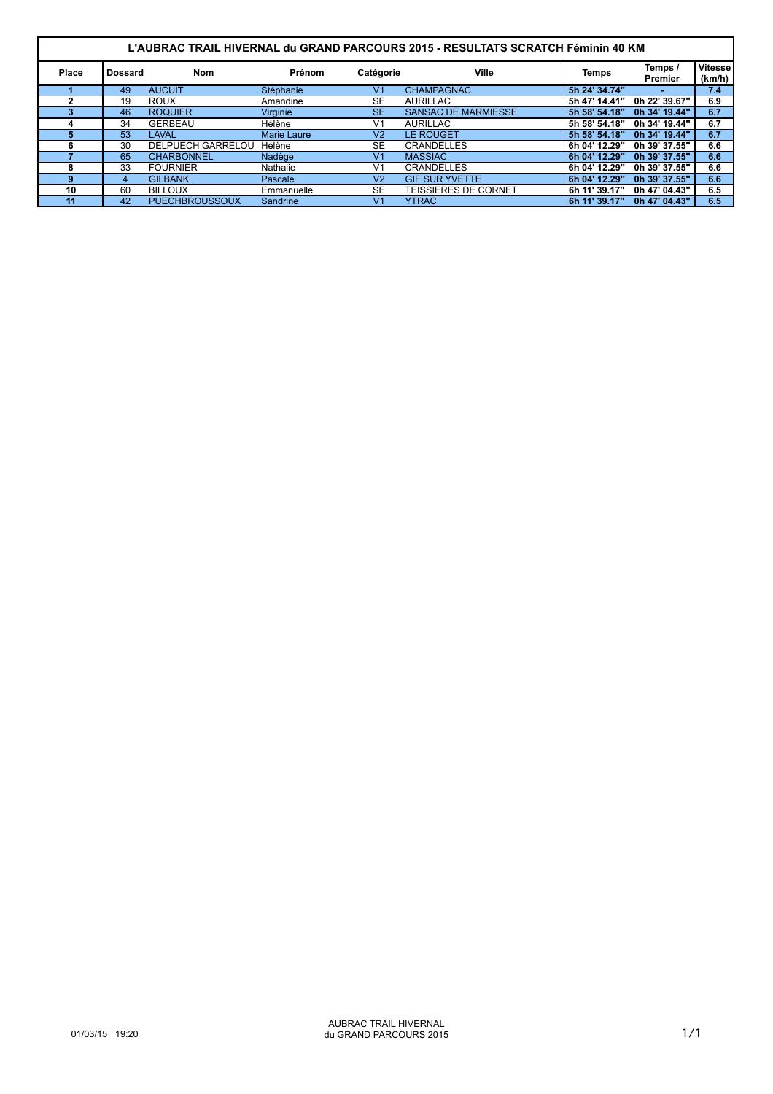| L'AUBRAC TRAIL HIVERNAL du GRAND PARCOURS 2015 - RESULTATS SCRATCH Féminin 40 KM |                |                           |                    |                |                            |               |                    |                          |  |  |
|----------------------------------------------------------------------------------|----------------|---------------------------|--------------------|----------------|----------------------------|---------------|--------------------|--------------------------|--|--|
| Place                                                                            | <b>Dossard</b> | <b>Nom</b>                | Prénom             | Catégorie      | Ville                      | Temps         | Temps /<br>Premier | <b>Vitesse</b><br>(km/h) |  |  |
|                                                                                  | 49             | <b>AUCUIT</b>             | Stéphanie          | V <sub>1</sub> | <b>CHAMPAGNAC</b>          | 5h 24' 34.74" |                    | 7.4                      |  |  |
|                                                                                  | 19             | <b>ROUX</b>               | Amandine           | <b>SE</b>      | <b>AURILLAC</b>            | 5h 47' 14.41" | 0h 22' 39.67"      | 6.9                      |  |  |
|                                                                                  | 46             | <b>ROQUIER</b>            | <b>Virginie</b>    | <b>SE</b>      | <b>SANSAC DE MARMIESSE</b> | 5h 58' 54.18" | 0h 34' 19.44"      | 6.7                      |  |  |
| д                                                                                | 34             | <b>GERBEAU</b>            | Hélène             | V <sub>1</sub> | <b>AURILLAC</b>            | 5h 58' 54.18" | 0h 34' 19.44"      | 6.7                      |  |  |
|                                                                                  | 53             | <b>LAVAL</b>              | <b>Marie Laure</b> | V <sub>2</sub> | <b>LE ROUGET</b>           | 5h 58' 54.18" | 0h 34' 19.44"      | 6.7                      |  |  |
|                                                                                  | 30             | <b>IDELPUECH GARRELOU</b> | Hélène             | <b>SE</b>      | <b>CRANDELLES</b>          | 6h 04' 12.29" | 0h 39' 37.55"      | 6.6                      |  |  |
|                                                                                  | 65             | <b>CHARBONNEL</b>         | Nadège             | V <sub>1</sub> | <b>MASSIAC</b>             | 6h 04' 12.29" | 0h 39' 37.55"      | 6.6                      |  |  |
|                                                                                  | 33             | <b>FOURNIER</b>           | Nathalie           | V <sub>1</sub> | <b>CRANDELLES</b>          | 6h 04' 12.29" | 0h 39' 37.55"      | 6.6                      |  |  |
| g                                                                                | 4              | <b>GILBANK</b>            | <b>Pascale</b>     | V <sub>2</sub> | <b>GIF SUR YVETTE</b>      | 6h 04' 12.29" | 0h 39' 37.55"      | 6.6                      |  |  |
| 10                                                                               | 60             | <b>BILLOUX</b>            | Emmanuelle         | <b>SE</b>      | TEISSIERES DE CORNET       | 6h 11' 39.17" | 0h 47' 04.43"      | 6.5                      |  |  |
| 11                                                                               | 42             | <b>PUECHBROUSSOUX</b>     | Sandrine           | V <sub>1</sub> | <b>YTRAC</b>               | 6h 11' 39.17" | 0h 47' 04.43"      | 6.5                      |  |  |